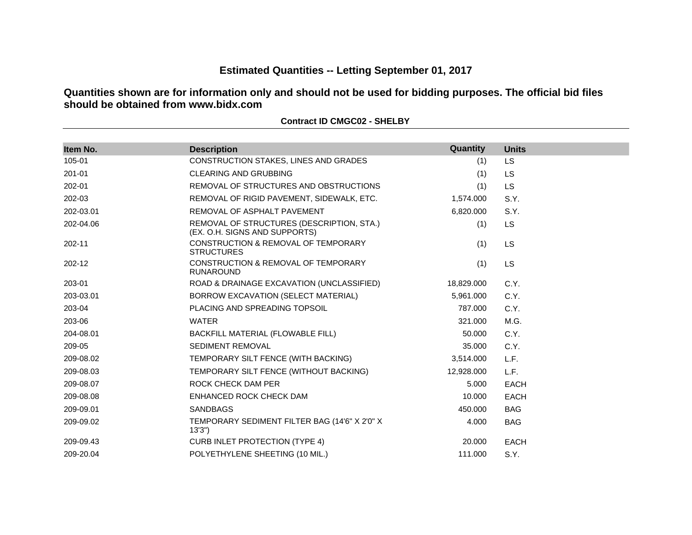# **Estimated Quantities -- Letting September 01, 2017**

**Quantities shown are for information only and should not be used for bidding purposes. The official bid files should be obtained from www.bidx.com**

| Item No.   | <b>Description</b>                                                         | Quantity   | <b>Units</b> |
|------------|----------------------------------------------------------------------------|------------|--------------|
| 105-01     | CONSTRUCTION STAKES, LINES AND GRADES                                      | (1)        | LS.          |
| $201 - 01$ | <b>CLEARING AND GRUBBING</b>                                               | (1)        | <b>LS</b>    |
| 202-01     | REMOVAL OF STRUCTURES AND OBSTRUCTIONS                                     | (1)        | <b>LS</b>    |
| 202-03     | REMOVAL OF RIGID PAVEMENT, SIDEWALK, ETC.                                  | 1,574.000  | S.Y.         |
| 202-03.01  | REMOVAL OF ASPHALT PAVEMENT                                                | 6,820.000  | S.Y.         |
| 202-04.06  | REMOVAL OF STRUCTURES (DESCRIPTION, STA.)<br>(EX. O.H. SIGNS AND SUPPORTS) | (1)        | <b>LS</b>    |
| 202-11     | CONSTRUCTION & REMOVAL OF TEMPORARY<br><b>STRUCTURES</b>                   | (1)        | <b>LS</b>    |
| 202-12     | CONSTRUCTION & REMOVAL OF TEMPORARY<br><b>RUNAROUND</b>                    | (1)        | <b>LS</b>    |
| 203-01     | ROAD & DRAINAGE EXCAVATION (UNCLASSIFIED)                                  | 18,829.000 | C.Y.         |
| 203-03.01  | BORROW EXCAVATION (SELECT MATERIAL)                                        | 5,961.000  | C.Y.         |
| 203-04     | PLACING AND SPREADING TOPSOIL                                              | 787.000    | C.Y.         |
| 203-06     | <b>WATER</b>                                                               | 321.000    | M.G.         |
| 204-08.01  | BACKFILL MATERIAL (FLOWABLE FILL)                                          | 50.000     | C.Y.         |
| 209-05     | <b>SEDIMENT REMOVAL</b>                                                    | 35,000     | C.Y.         |
| 209-08.02  | TEMPORARY SILT FENCE (WITH BACKING)                                        | 3,514.000  | L.F.         |
| 209-08.03  | TEMPORARY SILT FENCE (WITHOUT BACKING)                                     | 12,928.000 | L.F.         |
| 209-08.07  | ROCK CHECK DAM PER                                                         | 5.000      | <b>EACH</b>  |
| 209-08.08  | ENHANCED ROCK CHECK DAM                                                    | 10.000     | <b>EACH</b>  |
| 209-09.01  | <b>SANDBAGS</b>                                                            | 450.000    | <b>BAG</b>   |
| 209-09.02  | TEMPORARY SEDIMENT FILTER BAG (14'6" X 2'0" X<br>13'3'                     | 4.000      | <b>BAG</b>   |
| 209-09.43  | <b>CURB INLET PROTECTION (TYPE 4)</b>                                      | 20.000     | <b>EACH</b>  |
| 209-20.04  | POLYETHYLENE SHEETING (10 MIL.)                                            | 111.000    | S.Y.         |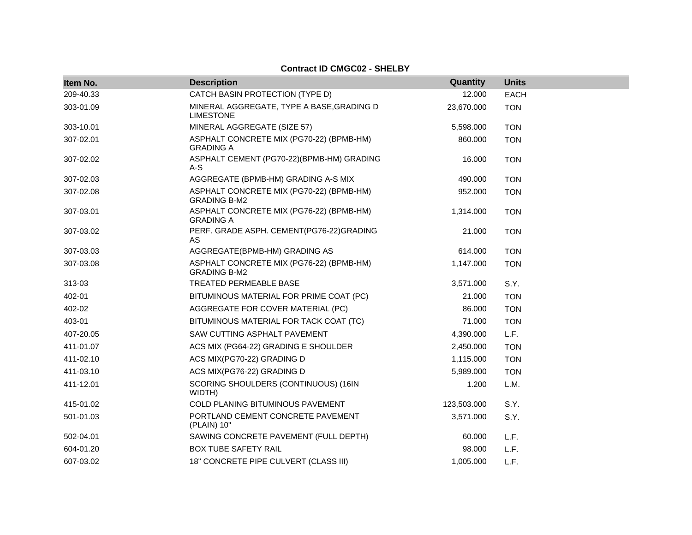| <b>Contract ID CMGC02 - SHELBY</b> |                                                                 |             |              |  |
|------------------------------------|-----------------------------------------------------------------|-------------|--------------|--|
| Item No.                           | <b>Description</b>                                              | Quantity    | <b>Units</b> |  |
| 209-40.33                          | CATCH BASIN PROTECTION (TYPE D)                                 | 12.000      | <b>EACH</b>  |  |
| 303-01.09                          | MINERAL AGGREGATE, TYPE A BASE, GRADING D<br><b>LIMESTONE</b>   | 23,670.000  | <b>TON</b>   |  |
| 303-10.01                          | MINERAL AGGREGATE (SIZE 57)                                     | 5,598.000   | <b>TON</b>   |  |
| 307-02.01                          | ASPHALT CONCRETE MIX (PG70-22) (BPMB-HM)<br><b>GRADING A</b>    | 860,000     | <b>TON</b>   |  |
| 307-02.02                          | ASPHALT CEMENT (PG70-22)(BPMB-HM) GRADING<br>A-S                | 16.000      | <b>TON</b>   |  |
| 307-02.03                          | AGGREGATE (BPMB-HM) GRADING A-S MIX                             | 490.000     | <b>TON</b>   |  |
| 307-02.08                          | ASPHALT CONCRETE MIX (PG70-22) (BPMB-HM)<br><b>GRADING B-M2</b> | 952.000     | <b>TON</b>   |  |
| 307-03.01                          | ASPHALT CONCRETE MIX (PG76-22) (BPMB-HM)<br><b>GRADING A</b>    | 1,314.000   | <b>TON</b>   |  |
| 307-03.02                          | PERF. GRADE ASPH. CEMENT(PG76-22)GRADING<br>AS.                 | 21.000      | <b>TON</b>   |  |
| 307-03.03                          | AGGREGATE(BPMB-HM) GRADING AS                                   | 614.000     | <b>TON</b>   |  |
| 307-03.08                          | ASPHALT CONCRETE MIX (PG76-22) (BPMB-HM)<br><b>GRADING B-M2</b> | 1,147.000   | <b>TON</b>   |  |
| 313-03                             | TREATED PERMEABLE BASE                                          | 3,571.000   | S.Y.         |  |
| 402-01                             | BITUMINOUS MATERIAL FOR PRIME COAT (PC)                         | 21.000      | <b>TON</b>   |  |
| 402-02                             | AGGREGATE FOR COVER MATERIAL (PC)                               | 86,000      | <b>TON</b>   |  |
| 403-01                             | BITUMINOUS MATERIAL FOR TACK COAT (TC)                          | 71.000      | <b>TON</b>   |  |
| 407-20.05                          | SAW CUTTING ASPHALT PAVEMENT                                    | 4,390.000   | L.F.         |  |
| 411-01.07                          | ACS MIX (PG64-22) GRADING E SHOULDER                            | 2,450.000   | <b>TON</b>   |  |
| 411-02.10                          | ACS MIX(PG70-22) GRADING D                                      | 1,115.000   | <b>TON</b>   |  |
| 411-03.10                          | ACS MIX(PG76-22) GRADING D                                      | 5,989.000   | <b>TON</b>   |  |
| 411-12.01                          | SCORING SHOULDERS (CONTINUOUS) (16IN<br>WIDTH)                  | 1.200       | L.M.         |  |
| 415-01.02                          | <b>COLD PLANING BITUMINOUS PAVEMENT</b>                         | 123,503.000 | S.Y.         |  |
| 501-01.03                          | PORTLAND CEMENT CONCRETE PAVEMENT<br>(PLAIN) 10"                | 3,571.000   | S.Y.         |  |
| 502-04.01                          | SAWING CONCRETE PAVEMENT (FULL DEPTH)                           | 60.000      | L.F.         |  |
| 604-01.20                          | <b>BOX TUBE SAFETY RAIL</b>                                     | 98,000      | L.F.         |  |
| 607-03.02                          | 18" CONCRETE PIPE CULVERT (CLASS III)                           | 1,005.000   | L.F.         |  |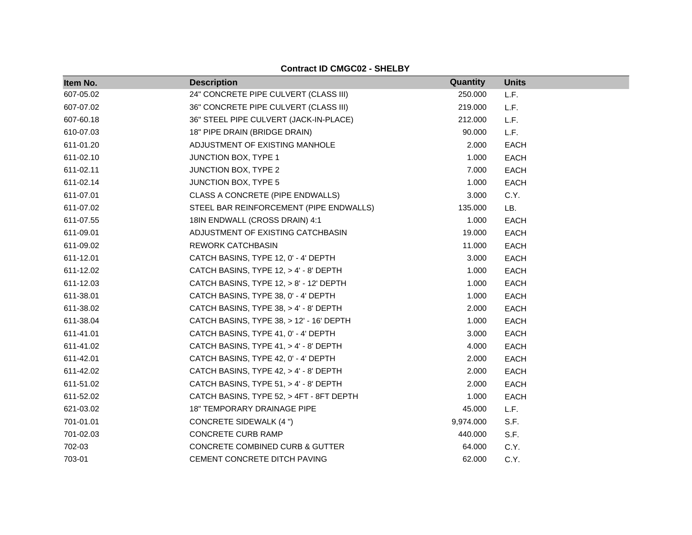| Item No.  | <b>Description</b>                         | Quantity  | <b>Units</b> |
|-----------|--------------------------------------------|-----------|--------------|
| 607-05.02 | 24" CONCRETE PIPE CULVERT (CLASS III)      | 250.000   | L.F.         |
| 607-07.02 | 36" CONCRETE PIPE CULVERT (CLASS III)      | 219.000   | L.F.         |
| 607-60.18 | 36" STEEL PIPE CULVERT (JACK-IN-PLACE)     | 212.000   | L.F.         |
| 610-07.03 | 18" PIPE DRAIN (BRIDGE DRAIN)              | 90.000    | L.F.         |
| 611-01.20 | ADJUSTMENT OF EXISTING MANHOLE             | 2.000     | <b>EACH</b>  |
| 611-02.10 | JUNCTION BOX, TYPE 1                       | 1.000     | <b>EACH</b>  |
| 611-02.11 | JUNCTION BOX, TYPE 2                       | 7.000     | EACH         |
| 611-02.14 | JUNCTION BOX, TYPE 5                       | 1.000     | <b>EACH</b>  |
| 611-07.01 | CLASS A CONCRETE (PIPE ENDWALLS)           | 3.000     | C.Y.         |
| 611-07.02 | STEEL BAR REINFORCEMENT (PIPE ENDWALLS)    | 135.000   | LB.          |
| 611-07.55 | 18IN ENDWALL (CROSS DRAIN) 4:1             | 1.000     | <b>EACH</b>  |
| 611-09.01 | ADJUSTMENT OF EXISTING CATCHBASIN          | 19.000    | EACH         |
| 611-09.02 | <b>REWORK CATCHBASIN</b>                   | 11.000    | <b>EACH</b>  |
| 611-12.01 | CATCH BASINS, TYPE 12, 0' - 4' DEPTH       | 3.000     | <b>EACH</b>  |
| 611-12.02 | CATCH BASINS, TYPE 12, > 4' - 8' DEPTH     | 1.000     | <b>EACH</b>  |
| 611-12.03 | CATCH BASINS, TYPE 12, > 8' - 12' DEPTH    | 1.000     | <b>EACH</b>  |
| 611-38.01 | CATCH BASINS, TYPE 38, 0' - 4' DEPTH       | 1.000     | <b>EACH</b>  |
| 611-38.02 | CATCH BASINS, TYPE 38, > 4' - 8' DEPTH     | 2.000     | <b>EACH</b>  |
| 611-38.04 | CATCH BASINS, TYPE 38, > 12' - 16' DEPTH   | 1.000     | <b>EACH</b>  |
| 611-41.01 | CATCH BASINS, TYPE 41, 0' - 4' DEPTH       | 3.000     | <b>EACH</b>  |
| 611-41.02 | CATCH BASINS, TYPE 41, > 4' - 8' DEPTH     | 4.000     | <b>EACH</b>  |
| 611-42.01 | CATCH BASINS, TYPE 42, 0' - 4' DEPTH       | 2.000     | <b>EACH</b>  |
| 611-42.02 | CATCH BASINS, TYPE 42, > 4' - 8' DEPTH     | 2.000     | <b>EACH</b>  |
| 611-51.02 | CATCH BASINS, TYPE 51, > 4' - 8' DEPTH     | 2.000     | <b>EACH</b>  |
| 611-52.02 | CATCH BASINS, TYPE 52, > 4FT - 8FT DEPTH   | 1.000     | <b>EACH</b>  |
| 621-03.02 | <b>18" TEMPORARY DRAINAGE PIPE</b>         | 45.000    | L.F.         |
| 701-01.01 | CONCRETE SIDEWALK (4 ")                    | 9,974.000 | S.F.         |
| 701-02.03 | CONCRETE CURB RAMP                         | 440.000   | S.F.         |
| 702-03    | <b>CONCRETE COMBINED CURB &amp; GUTTER</b> | 64.000    | C.Y.         |
| 703-01    | CEMENT CONCRETE DITCH PAVING               | 62.000    | C.Y.         |

**Contract ID CMGC02 - SHELBY**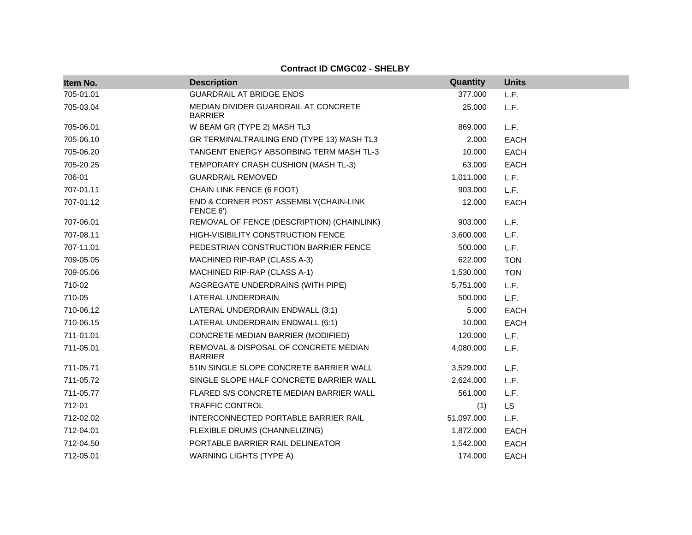| Item No.  | <b>Description</b>                                      | Quantity   | <b>Units</b> |
|-----------|---------------------------------------------------------|------------|--------------|
| 705-01.01 | <b>GUARDRAIL AT BRIDGE ENDS</b>                         | 377.000    | L.F.         |
| 705-03.04 | MEDIAN DIVIDER GUARDRAIL AT CONCRETE<br><b>BARRIER</b>  | 25.000     | L.F.         |
| 705-06.01 | W BEAM GR (TYPE 2) MASH TL3                             | 869,000    | L.F.         |
| 705-06.10 | GR TERMINALTRAILING END (TYPE 13) MASH TL3              | 2.000      | <b>EACH</b>  |
| 705-06.20 | TANGENT ENERGY ABSORBING TERM MASH TL-3                 | 10.000     | <b>EACH</b>  |
| 705-20.25 | TEMPORARY CRASH CUSHION (MASH TL-3)                     | 63.000     | EACH         |
| 706-01    | <b>GUARDRAIL REMOVED</b>                                | 1,011.000  | L.F.         |
| 707-01.11 | CHAIN LINK FENCE (6 FOOT)                               | 903.000    | L.F.         |
| 707-01.12 | END & CORNER POST ASSEMBLY(CHAIN-LINK<br>FENCE 6')      | 12.000     | <b>EACH</b>  |
| 707-06.01 | REMOVAL OF FENCE (DESCRIPTION) (CHAINLINK)              | 903.000    | L.F.         |
| 707-08.11 | HIGH-VISIBILITY CONSTRUCTION FENCE                      | 3,600.000  | L.F.         |
| 707-11.01 | PEDESTRIAN CONSTRUCTION BARRIER FENCE                   | 500.000    | L.F.         |
| 709-05.05 | MACHINED RIP-RAP (CLASS A-3)                            | 622.000    | <b>TON</b>   |
| 709-05.06 | MACHINED RIP-RAP (CLASS A-1)                            | 1,530.000  | <b>TON</b>   |
| 710-02    | AGGREGATE UNDERDRAINS (WITH PIPE)                       | 5,751.000  | L.F.         |
| 710-05    | LATERAL UNDERDRAIN                                      | 500.000    | L.F.         |
| 710-06.12 | LATERAL UNDERDRAIN ENDWALL (3:1)                        | 5.000      | EACH         |
| 710-06.15 | LATERAL UNDERDRAIN ENDWALL (6:1)                        | 10.000     | <b>EACH</b>  |
| 711-01.01 | CONCRETE MEDIAN BARRIER (MODIFIED)                      | 120.000    | L.F.         |
| 711-05.01 | REMOVAL & DISPOSAL OF CONCRETE MEDIAN<br><b>BARRIER</b> | 4,080.000  | L.F.         |
| 711-05.71 | 51IN SINGLE SLOPE CONCRETE BARRIER WALL                 | 3,529.000  | L.F.         |
| 711-05.72 | SINGLE SLOPE HALF CONCRETE BARRIER WALL                 | 2,624.000  | L.F.         |
| 711-05.77 | FLARED S/S CONCRETE MEDIAN BARRIER WALL                 | 561.000    | L.F.         |
| 712-01    | <b>TRAFFIC CONTROL</b>                                  | (1)        | LS.          |
| 712-02.02 | INTERCONNECTED PORTABLE BARRIER RAIL                    | 51,097.000 | L.F.         |
| 712-04.01 | FLEXIBLE DRUMS (CHANNELIZING)                           | 1,872.000  | <b>EACH</b>  |
| 712-04.50 | PORTABLE BARRIER RAIL DELINEATOR                        | 1,542.000  | <b>EACH</b>  |
| 712-05.01 | <b>WARNING LIGHTS (TYPE A)</b>                          | 174.000    | <b>EACH</b>  |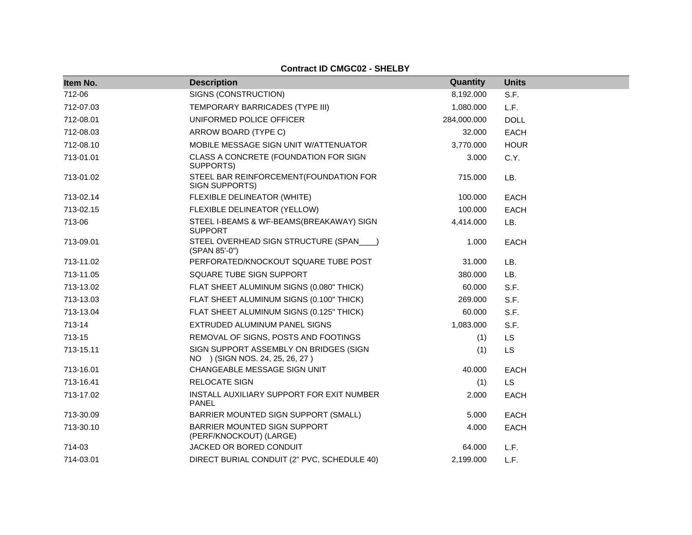| Item No.  | <b>Description</b>                                                        | Quantity    | <b>Units</b> |
|-----------|---------------------------------------------------------------------------|-------------|--------------|
| 712-06    | SIGNS (CONSTRUCTION)                                                      | 8,192.000   | S.F.         |
| 712-07.03 | TEMPORARY BARRICADES (TYPE III)                                           | 1,080.000   | L.F.         |
| 712-08.01 | UNIFORMED POLICE OFFICER                                                  | 284,000.000 | <b>DOLL</b>  |
| 712-08.03 | ARROW BOARD (TYPE C)                                                      | 32.000      | <b>EACH</b>  |
| 712-08.10 | MOBILE MESSAGE SIGN UNIT W/ATTENUATOR                                     | 3,770.000   | <b>HOUR</b>  |
| 713-01.01 | CLASS A CONCRETE (FOUNDATION FOR SIGN<br>SUPPORTS)                        | 3.000       | C.Y.         |
| 713-01.02 | STEEL BAR REINFORCEMENT(FOUNDATION FOR<br>SIGN SUPPORTS)                  | 715.000     | LB.          |
| 713-02.14 | FLEXIBLE DELINEATOR (WHITE)                                               | 100.000     | <b>EACH</b>  |
| 713-02.15 | FLEXIBLE DELINEATOR (YELLOW)                                              | 100.000     | <b>EACH</b>  |
| 713-06    | STEEL I-BEAMS & WF-BEAMS(BREAKAWAY) SIGN<br><b>SUPPORT</b>                | 4,414.000   | LB.          |
| 713-09.01 | STEEL OVERHEAD SIGN STRUCTURE (SPAN___)<br>(SPAN 85'-0")                  | 1.000       | EACH         |
| 713-11.02 | PERFORATED/KNOCKOUT SQUARE TUBE POST                                      | 31.000      | LB.          |
| 713-11.05 | SQUARE TUBE SIGN SUPPORT                                                  | 380,000     | LB.          |
| 713-13.02 | FLAT SHEET ALUMINUM SIGNS (0.080" THICK)                                  | 60.000      | S.F.         |
| 713-13.03 | FLAT SHEET ALUMINUM SIGNS (0.100" THICK)                                  | 269.000     | S.F.         |
| 713-13.04 | FLAT SHEET ALUMINUM SIGNS (0.125" THICK)                                  | 60.000      | S.F.         |
| 713-14    | EXTRUDED ALUMINUM PANEL SIGNS                                             | 1,083.000   | S.F.         |
| 713-15    | REMOVAL OF SIGNS, POSTS AND FOOTINGS                                      | (1)         | LS           |
| 713-15.11 | SIGN SUPPORT ASSEMBLY ON BRIDGES (SIGN<br>NO ) (SIGN NOS. 24, 25, 26, 27) | (1)         | <b>LS</b>    |
| 713-16.01 | CHANGEABLE MESSAGE SIGN UNIT                                              | 40.000      | <b>EACH</b>  |
| 713-16.41 | RELOCATE SIGN                                                             | (1)         | <b>LS</b>    |
| 713-17.02 | INSTALL AUXILIARY SUPPORT FOR EXIT NUMBER<br><b>PANEL</b>                 | 2.000       | <b>EACH</b>  |
| 713-30.09 | BARRIER MOUNTED SIGN SUPPORT (SMALL)                                      | 5.000       | <b>EACH</b>  |
| 713-30.10 | BARRIER MOUNTED SIGN SUPPORT<br>(PERF/KNOCKOUT) (LARGE)                   | 4.000       | <b>EACH</b>  |
| 714-03    | JACKED OR BORED CONDUIT                                                   | 64.000      | L.F.         |
| 714-03.01 | DIRECT BURIAL CONDUIT (2" PVC, SCHEDULE 40)                               | 2,199.000   | L.F.         |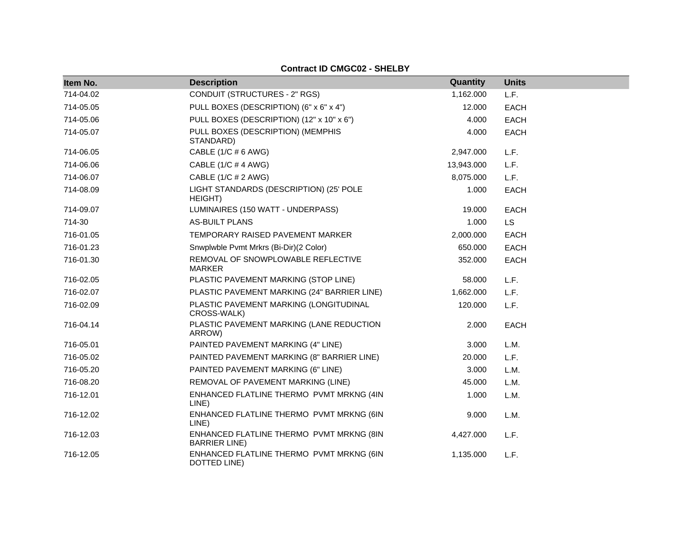| Item No.  | <b>Description</b>                                               | Quantity   | <b>Units</b> |
|-----------|------------------------------------------------------------------|------------|--------------|
| 714-04.02 | CONDUIT (STRUCTURES - 2" RGS)                                    | 1,162.000  | L.F.         |
| 714-05.05 | PULL BOXES (DESCRIPTION) (6" x 6" x 4")                          | 12.000     | <b>EACH</b>  |
| 714-05.06 | PULL BOXES (DESCRIPTION) (12" x 10" x 6")                        | 4.000      | <b>EACH</b>  |
| 714-05.07 | PULL BOXES (DESCRIPTION) (MEMPHIS<br>STANDARD)                   | 4.000      | <b>EACH</b>  |
| 714-06.05 | CABLE (1/C # 6 AWG)                                              | 2,947.000  | L.F.         |
| 714-06.06 | CABLE (1/C # 4 AWG)                                              | 13,943.000 | L.F.         |
| 714-06.07 | CABLE (1/C # 2 AWG)                                              | 8,075.000  | L.F.         |
| 714-08.09 | LIGHT STANDARDS (DESCRIPTION) (25' POLE<br>HEIGHT)               | 1.000      | <b>EACH</b>  |
| 714-09.07 | LUMINAIRES (150 WATT - UNDERPASS)                                | 19.000     | <b>EACH</b>  |
| 714-30    | <b>AS-BUILT PLANS</b>                                            | 1.000      | <b>LS</b>    |
| 716-01.05 | TEMPORARY RAISED PAVEMENT MARKER                                 | 2,000.000  | <b>EACH</b>  |
| 716-01.23 | Snwplwble Pvmt Mrkrs (Bi-Dir)(2 Color)                           | 650.000    | <b>EACH</b>  |
| 716-01.30 | REMOVAL OF SNOWPLOWABLE REFLECTIVE<br><b>MARKER</b>              | 352.000    | <b>EACH</b>  |
| 716-02.05 | PLASTIC PAVEMENT MARKING (STOP LINE)                             | 58.000     | L.F.         |
| 716-02.07 | PLASTIC PAVEMENT MARKING (24" BARRIER LINE)                      | 1,662.000  | L.F.         |
| 716-02.09 | PLASTIC PAVEMENT MARKING (LONGITUDINAL<br>CROSS-WALK)            | 120.000    | L.F.         |
| 716-04.14 | PLASTIC PAVEMENT MARKING (LANE REDUCTION<br>ARROW)               | 2.000      | <b>EACH</b>  |
| 716-05.01 | PAINTED PAVEMENT MARKING (4" LINE)                               | 3.000      | L.M.         |
| 716-05.02 | PAINTED PAVEMENT MARKING (8" BARRIER LINE)                       | 20.000     | L.F.         |
| 716-05.20 | PAINTED PAVEMENT MARKING (6" LINE)                               | 3.000      | L.M.         |
| 716-08.20 | REMOVAL OF PAVEMENT MARKING (LINE)                               | 45.000     | L.M.         |
| 716-12.01 | ENHANCED FLATLINE THERMO PVMT MRKNG (4IN<br>LINE)                | 1.000      | L.M.         |
| 716-12.02 | ENHANCED FLATLINE THERMO PVMT MRKNG (6IN<br>LINE)                | 9.000      | L.M.         |
| 716-12.03 | ENHANCED FLATLINE THERMO PVMT MRKNG (8IN<br><b>BARRIER LINE)</b> | 4,427.000  | L.F.         |
| 716-12.05 | ENHANCED FLATLINE THERMO PVMT MRKNG (6IN<br>DOTTED LINE)         | 1,135.000  | L.F.         |

**Contract ID CMGC02 - SHELBY**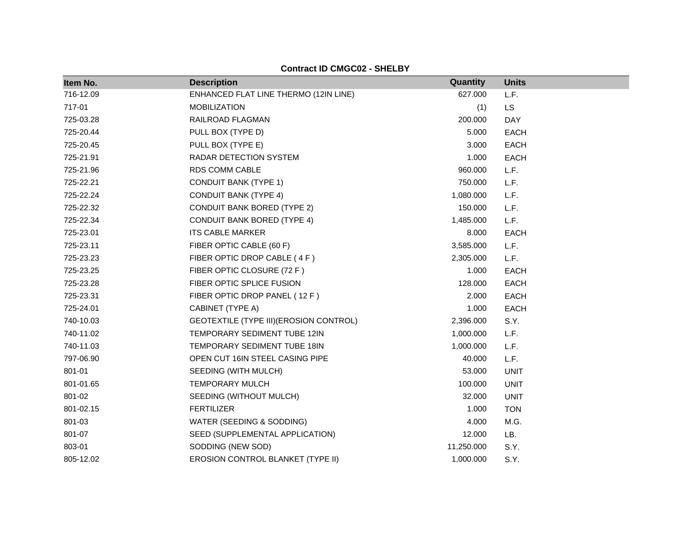| Item No.  | <b>Description</b>                       | Quantity   | <b>Units</b> |
|-----------|------------------------------------------|------------|--------------|
| 716-12.09 | ENHANCED FLAT LINE THERMO (12IN LINE)    | 627.000    | L.F.         |
| 717-01    | <b>MOBILIZATION</b>                      | (1)        | LS           |
| 725-03.28 | RAILROAD FLAGMAN                         | 200.000    | DAY          |
| 725-20.44 | PULL BOX (TYPE D)                        | 5.000      | <b>EACH</b>  |
| 725-20.45 | PULL BOX (TYPE E)                        | 3.000      | <b>EACH</b>  |
| 725-21.91 | RADAR DETECTION SYSTEM                   | 1.000      | <b>EACH</b>  |
| 725-21.96 | RDS COMM CABLE                           | 960.000    | L.F.         |
| 725-22.21 | <b>CONDUIT BANK (TYPE 1)</b>             | 750.000    | L.F.         |
| 725-22.24 | <b>CONDUIT BANK (TYPE 4)</b>             | 1,080.000  | L.F.         |
| 725-22.32 | <b>CONDUIT BANK BORED (TYPE 2)</b>       | 150.000    | L.F.         |
| 725-22.34 | <b>CONDUIT BANK BORED (TYPE 4)</b>       | 1,485.000  | L.F.         |
| 725-23.01 | <b>ITS CABLE MARKER</b>                  | 8.000      | <b>EACH</b>  |
| 725-23.11 | FIBER OPTIC CABLE (60 F)                 | 3,585.000  | L.F.         |
| 725-23.23 | FIBER OPTIC DROP CABLE (4F)              | 2,305.000  | L.F.         |
| 725-23.25 | FIBER OPTIC CLOSURE (72 F)               | 1.000      | <b>EACH</b>  |
| 725-23.28 | FIBER OPTIC SPLICE FUSION                | 128.000    | <b>EACH</b>  |
| 725-23.31 | FIBER OPTIC DROP PANEL (12 F)            | 2.000      | <b>EACH</b>  |
| 725-24.01 | CABINET (TYPE A)                         | 1.000      | <b>EACH</b>  |
| 740-10.03 | GEOTEXTILE (TYPE III) (EROSION CONTROL)  | 2,396.000  | S.Y.         |
| 740-11.02 | TEMPORARY SEDIMENT TUBE 12IN             | 1,000.000  | L.F.         |
| 740-11.03 | TEMPORARY SEDIMENT TUBE 18IN             | 1,000.000  | L.F.         |
| 797-06.90 | OPEN CUT 16IN STEEL CASING PIPE          | 40.000     | L.F.         |
| 801-01    | SEEDING (WITH MULCH)                     | 53.000     | <b>UNIT</b>  |
| 801-01.65 | <b>TEMPORARY MULCH</b>                   | 100.000    | <b>UNIT</b>  |
| 801-02    | SEEDING (WITHOUT MULCH)                  | 32.000     | <b>UNIT</b>  |
| 801-02.15 | <b>FERTILIZER</b>                        | 1.000      | <b>TON</b>   |
| 801-03    | WATER (SEEDING & SODDING)                | 4.000      | M.G.         |
| 801-07    | SEED (SUPPLEMENTAL APPLICATION)          | 12.000     | LB.          |
| 803-01    | SODDING (NEW SOD)                        | 11,250.000 | S.Y.         |
| 805-12.02 | <b>EROSION CONTROL BLANKET (TYPE II)</b> | 1,000.000  | S.Y.         |

**Contract ID CMGC02 - SHELBY**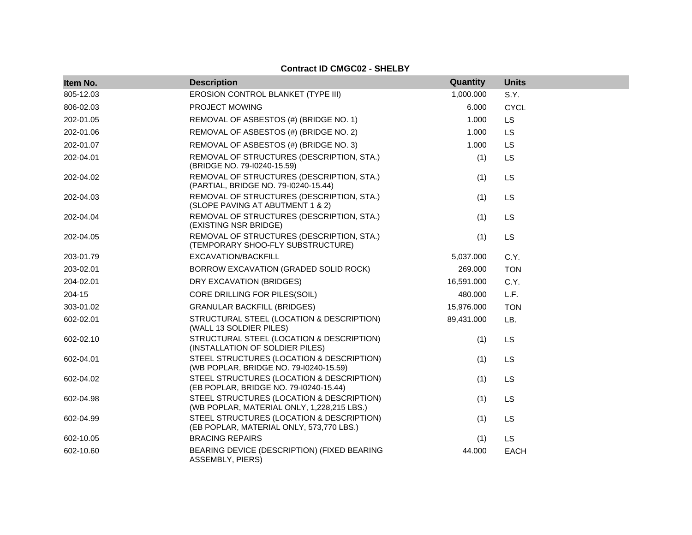| Item No.  | <b>Description</b>                                                                      | Quantity   | <b>Units</b> |
|-----------|-----------------------------------------------------------------------------------------|------------|--------------|
| 805-12.03 | EROSION CONTROL BLANKET (TYPE III)                                                      | 1,000.000  | S.Y.         |
| 806-02.03 | <b>PROJECT MOWING</b>                                                                   | 6.000      | <b>CYCL</b>  |
| 202-01.05 | REMOVAL OF ASBESTOS (#) (BRIDGE NO. 1)                                                  | 1.000      | <b>LS</b>    |
| 202-01.06 | REMOVAL OF ASBESTOS (#) (BRIDGE NO. 2)                                                  | 1.000      | <b>LS</b>    |
| 202-01.07 | REMOVAL OF ASBESTOS (#) (BRIDGE NO. 3)                                                  | 1.000      | <b>LS</b>    |
| 202-04.01 | REMOVAL OF STRUCTURES (DESCRIPTION, STA.)<br>(BRIDGE NO. 79-10240-15.59)                | (1)        | LS           |
| 202-04.02 | REMOVAL OF STRUCTURES (DESCRIPTION, STA.)<br>(PARTIAL, BRIDGE NO. 79-10240-15.44)       | (1)        | LS           |
| 202-04.03 | REMOVAL OF STRUCTURES (DESCRIPTION, STA.)<br>(SLOPE PAVING AT ABUTMENT 1 & 2)           | (1)        | LS           |
| 202-04.04 | REMOVAL OF STRUCTURES (DESCRIPTION, STA.)<br>(EXISTING NSR BRIDGE)                      | (1)        | LS           |
| 202-04.05 | REMOVAL OF STRUCTURES (DESCRIPTION, STA.)<br>(TEMPORARY SHOO-FLY SUBSTRUCTURE)          | (1)        | LS           |
| 203-01.79 | EXCAVATION/BACKFILL                                                                     | 5,037.000  | C.Y.         |
| 203-02.01 | BORROW EXCAVATION (GRADED SOLID ROCK)                                                   | 269.000    | <b>TON</b>   |
| 204-02.01 | DRY EXCAVATION (BRIDGES)                                                                | 16,591.000 | C.Y.         |
| 204-15    | CORE DRILLING FOR PILES(SOIL)                                                           | 480.000    | L.F.         |
| 303-01.02 | <b>GRANULAR BACKFILL (BRIDGES)</b>                                                      | 15,976.000 | <b>TON</b>   |
| 602-02.01 | STRUCTURAL STEEL (LOCATION & DESCRIPTION)<br>(WALL 13 SOLDIER PILES)                    | 89,431.000 | LB.          |
| 602-02.10 | STRUCTURAL STEEL (LOCATION & DESCRIPTION)<br>(INSTALLATION OF SOLDIER PILES)            | (1)        | LS           |
| 602-04.01 | STEEL STRUCTURES (LOCATION & DESCRIPTION)<br>(WB POPLAR, BRIDGE NO. 79-10240-15.59)     | (1)        | LS           |
| 602-04.02 | STEEL STRUCTURES (LOCATION & DESCRIPTION)<br>(EB POPLAR, BRIDGE NO. 79-10240-15.44)     | (1)        | LS           |
| 602-04.98 | STEEL STRUCTURES (LOCATION & DESCRIPTION)<br>(WB POPLAR, MATERIAL ONLY, 1,228,215 LBS.) | (1)        | LS           |
| 602-04.99 | STEEL STRUCTURES (LOCATION & DESCRIPTION)<br>(EB POPLAR, MATERIAL ONLY, 573,770 LBS.)   | (1)        | LS           |
| 602-10.05 | <b>BRACING REPAIRS</b>                                                                  | (1)        | <b>LS</b>    |
| 602-10.60 | BEARING DEVICE (DESCRIPTION) (FIXED BEARING<br>ASSEMBLY, PIERS)                         | 44.000     | <b>EACH</b>  |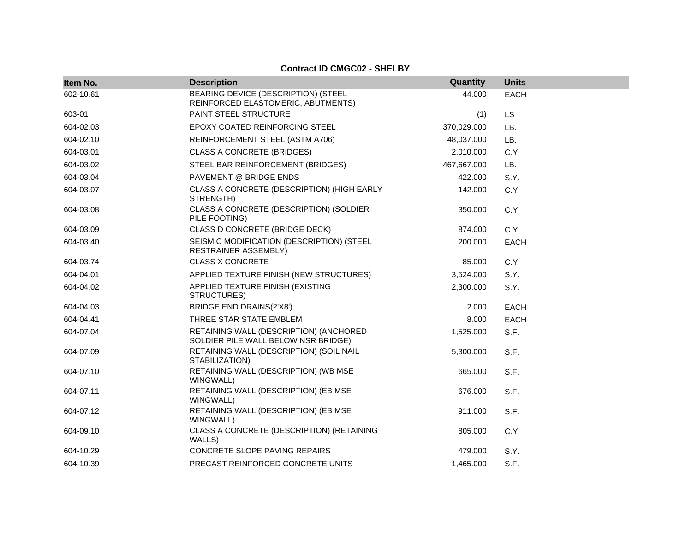| Item No.  | <b>Description</b>                                                            | Quantity    | <b>Units</b> |
|-----------|-------------------------------------------------------------------------------|-------------|--------------|
| 602-10.61 | BEARING DEVICE (DESCRIPTION) (STEEL<br>REINFORCED ELASTOMERIC, ABUTMENTS)     | 44.000      | <b>EACH</b>  |
| 603-01    | PAINT STEEL STRUCTURE                                                         | (1)         | LS           |
| 604-02.03 | <b>EPOXY COATED REINFORCING STEEL</b>                                         | 370,029.000 | LB.          |
| 604-02.10 | REINFORCEMENT STEEL (ASTM A706)                                               | 48,037.000  | LB.          |
| 604-03.01 | <b>CLASS A CONCRETE (BRIDGES)</b>                                             | 2,010.000   | C.Y.         |
| 604-03.02 | STEEL BAR REINFORCEMENT (BRIDGES)                                             | 467,667.000 | LB.          |
| 604-03.04 | PAVEMENT @ BRIDGE ENDS                                                        | 422.000     | S.Y.         |
| 604-03.07 | CLASS A CONCRETE (DESCRIPTION) (HIGH EARLY<br>STRENGTH)                       | 142.000     | C.Y.         |
| 604-03.08 | CLASS A CONCRETE (DESCRIPTION) (SOLDIER<br>PILE FOOTING)                      | 350.000     | C.Y.         |
| 604-03.09 | CLASS D CONCRETE (BRIDGE DECK)                                                | 874.000     | C.Y.         |
| 604-03.40 | SEISMIC MODIFICATION (DESCRIPTION) (STEEL<br>RESTRAINER ASSEMBLY)             | 200.000     | <b>EACH</b>  |
| 604-03.74 | <b>CLASS X CONCRETE</b>                                                       | 85.000      | C.Y.         |
| 604-04.01 | APPLIED TEXTURE FINISH (NEW STRUCTURES)                                       | 3,524.000   | S.Y.         |
| 604-04.02 | APPLIED TEXTURE FINISH (EXISTING<br>STRUCTURES)                               | 2,300.000   | S.Y.         |
| 604-04.03 | <b>BRIDGE END DRAINS(2'X8')</b>                                               | 2.000       | EACH         |
| 604-04.41 | THREE STAR STATE EMBLEM                                                       | 8.000       | <b>EACH</b>  |
| 604-07.04 | RETAINING WALL (DESCRIPTION) (ANCHORED<br>SOLDIER PILE WALL BELOW NSR BRIDGE) | 1,525.000   | S.F.         |
| 604-07.09 | RETAINING WALL (DESCRIPTION) (SOIL NAIL<br>STABILIZATION)                     | 5,300.000   | S.F.         |
| 604-07.10 | RETAINING WALL (DESCRIPTION) (WB MSE<br>WINGWALL)                             | 665.000     | S.F.         |
| 604-07.11 | RETAINING WALL (DESCRIPTION) (EB MSE<br>WINGWALL)                             | 676.000     | S.F.         |
| 604-07.12 | RETAINING WALL (DESCRIPTION) (EB MSE<br>WINGWALL)                             | 911.000     | S.F.         |
| 604-09.10 | CLASS A CONCRETE (DESCRIPTION) (RETAINING<br>WALLS)                           | 805.000     | C.Y.         |
| 604-10.29 | CONCRETE SLOPE PAVING REPAIRS                                                 | 479.000     | S.Y.         |
| 604-10.39 | PRECAST REINFORCED CONCRETE UNITS                                             | 1.465.000   | S.F.         |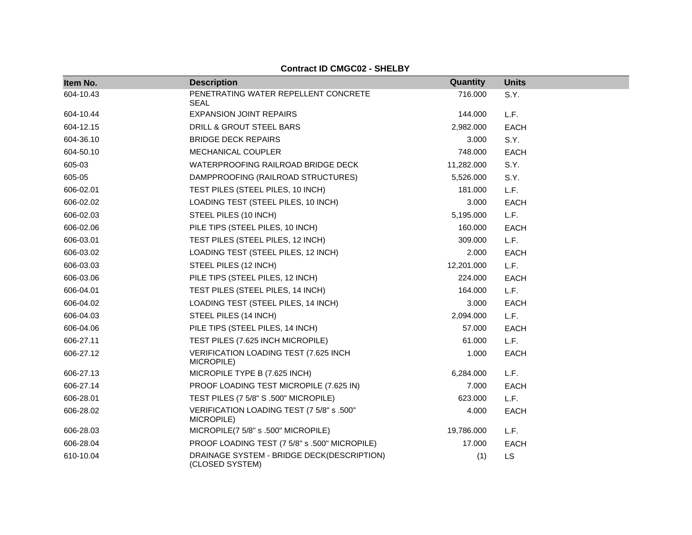| Item No.  | <b>Description</b>                                            | Quantity   | <b>Units</b> |
|-----------|---------------------------------------------------------------|------------|--------------|
| 604-10.43 | PENETRATING WATER REPELLENT CONCRETE<br><b>SEAL</b>           | 716.000    | S.Y.         |
| 604-10.44 | <b>EXPANSION JOINT REPAIRS</b>                                | 144.000    | L.F.         |
| 604-12.15 | DRILL & GROUT STEEL BARS                                      | 2,982.000  | <b>EACH</b>  |
| 604-36.10 | <b>BRIDGE DECK REPAIRS</b>                                    | 3.000      | S.Y.         |
| 604-50.10 | MECHANICAL COUPLER                                            | 748.000    | <b>EACH</b>  |
| 605-03    | WATERPROOFING RAILROAD BRIDGE DECK                            | 11,282.000 | S.Y.         |
| 605-05    | DAMPPROOFING (RAILROAD STRUCTURES)                            | 5,526.000  | S.Y.         |
| 606-02.01 | TEST PILES (STEEL PILES, 10 INCH)                             | 181.000    | L.F.         |
| 606-02.02 | LOADING TEST (STEEL PILES, 10 INCH)                           | 3.000      | <b>EACH</b>  |
| 606-02.03 | STEEL PILES (10 INCH)                                         | 5,195.000  | L.F.         |
| 606-02.06 | PILE TIPS (STEEL PILES, 10 INCH)                              | 160.000    | <b>EACH</b>  |
| 606-03.01 | TEST PILES (STEEL PILES, 12 INCH)                             | 309.000    | L.F.         |
| 606-03.02 | LOADING TEST (STEEL PILES, 12 INCH)                           | 2.000      | <b>EACH</b>  |
| 606-03.03 | STEEL PILES (12 INCH)                                         | 12,201.000 | L.F.         |
| 606-03.06 | PILE TIPS (STEEL PILES, 12 INCH)                              | 224.000    | <b>EACH</b>  |
| 606-04.01 | TEST PILES (STEEL PILES, 14 INCH)                             | 164.000    | L.F.         |
| 606-04.02 | LOADING TEST (STEEL PILES, 14 INCH)                           | 3.000      | <b>EACH</b>  |
| 606-04.03 | STEEL PILES (14 INCH)                                         | 2,094.000  | L.F.         |
| 606-04.06 | PILE TIPS (STEEL PILES, 14 INCH)                              | 57.000     | <b>EACH</b>  |
| 606-27.11 | TEST PILES (7.625 INCH MICROPILE)                             | 61.000     | L.F.         |
| 606-27.12 | VERIFICATION LOADING TEST (7.625 INCH<br>MICROPILE)           | 1.000      | <b>EACH</b>  |
| 606-27.13 | MICROPILE TYPE B (7.625 INCH)                                 | 6,284.000  | L.F.         |
| 606-27.14 | PROOF LOADING TEST MICROPILE (7.625 IN)                       | 7.000      | <b>EACH</b>  |
| 606-28.01 | TEST PILES (7 5/8" S .500" MICROPILE)                         | 623.000    | L.F.         |
| 606-28.02 | VERIFICATION LOADING TEST (7 5/8" s .500"<br>MICROPILE)       | 4.000      | <b>EACH</b>  |
| 606-28.03 | MICROPILE(7 5/8" s .500" MICROPILE)                           | 19,786.000 | L.F.         |
| 606-28.04 | PROOF LOADING TEST (7 5/8" s .500" MICROPILE)                 | 17.000     | <b>EACH</b>  |
| 610-10.04 | DRAINAGE SYSTEM - BRIDGE DECK(DESCRIPTION)<br>(CLOSED SYSTEM) | (1)        | <b>LS</b>    |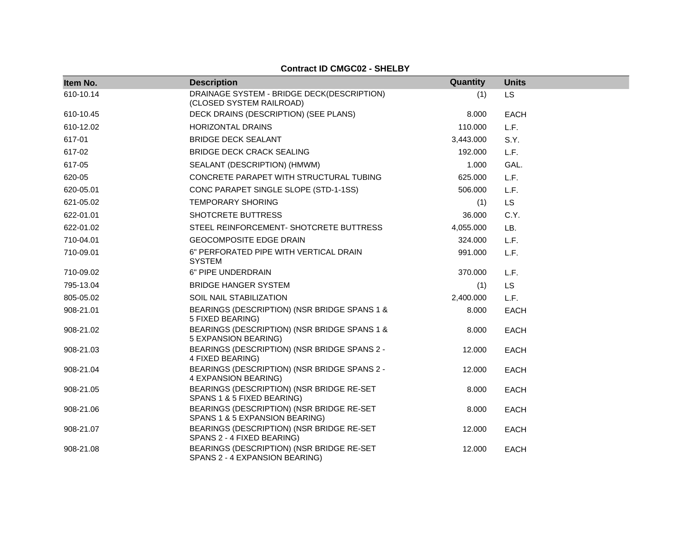| Item No.  | <b>Description</b>                                                          | Quantity  | <b>Units</b> |
|-----------|-----------------------------------------------------------------------------|-----------|--------------|
| 610-10.14 | DRAINAGE SYSTEM - BRIDGE DECK(DESCRIPTION)<br>(CLOSED SYSTEM RAILROAD)      | (1)       | <b>LS</b>    |
| 610-10.45 | DECK DRAINS (DESCRIPTION) (SEE PLANS)                                       | 8.000     | <b>EACH</b>  |
| 610-12.02 | <b>HORIZONTAL DRAINS</b>                                                    | 110.000   | L.F.         |
| 617-01    | <b>BRIDGE DECK SEALANT</b>                                                  | 3,443.000 | S.Y.         |
| 617-02    | <b>BRIDGE DECK CRACK SEALING</b>                                            | 192.000   | L.F.         |
| 617-05    | SEALANT (DESCRIPTION) (HMWM)                                                | 1.000     | GAL.         |
| 620-05    | CONCRETE PARAPET WITH STRUCTURAL TUBING                                     | 625.000   | L.F.         |
| 620-05.01 | CONC PARAPET SINGLE SLOPE (STD-1-1SS)                                       | 506.000   | L.F.         |
| 621-05.02 | <b>TEMPORARY SHORING</b>                                                    | (1)       | <b>LS</b>    |
| 622-01.01 | SHOTCRETE BUTTRESS                                                          | 36.000    | C.Y.         |
| 622-01.02 | STEEL REINFORCEMENT- SHOTCRETE BUTTRESS                                     | 4,055.000 | LB.          |
| 710-04.01 | <b>GEOCOMPOSITE EDGE DRAIN</b>                                              | 324.000   | L.F.         |
| 710-09.01 | 6" PERFORATED PIPE WITH VERTICAL DRAIN<br><b>SYSTEM</b>                     | 991.000   | L.F.         |
| 710-09.02 | 6" PIPE UNDERDRAIN                                                          | 370.000   | L.F.         |
| 795-13.04 | <b>BRIDGE HANGER SYSTEM</b>                                                 | (1)       | <b>LS</b>    |
| 805-05.02 | <b>SOIL NAIL STABILIZATION</b>                                              | 2,400.000 | L.F.         |
| 908-21.01 | BEARINGS (DESCRIPTION) (NSR BRIDGE SPANS 1 &<br>5 FIXED BEARING)            | 8.000     | <b>EACH</b>  |
| 908-21.02 | BEARINGS (DESCRIPTION) (NSR BRIDGE SPANS 1 &<br>5 EXPANSION BEARING)        | 8.000     | <b>EACH</b>  |
| 908-21.03 | BEARINGS (DESCRIPTION) (NSR BRIDGE SPANS 2 -<br>4 FIXED BEARING)            | 12.000    | <b>EACH</b>  |
| 908-21.04 | BEARINGS (DESCRIPTION) (NSR BRIDGE SPANS 2 -<br>4 EXPANSION BEARING)        | 12.000    | <b>EACH</b>  |
| 908-21.05 | BEARINGS (DESCRIPTION) (NSR BRIDGE RE-SET<br>SPANS 1 & 5 FIXED BEARING)     | 8.000     | <b>EACH</b>  |
| 908-21.06 | BEARINGS (DESCRIPTION) (NSR BRIDGE RE-SET<br>SPANS 1 & 5 EXPANSION BEARING) | 8.000     | <b>EACH</b>  |
| 908-21.07 | BEARINGS (DESCRIPTION) (NSR BRIDGE RE-SET<br>SPANS 2 - 4 FIXED BEARING)     | 12.000    | <b>EACH</b>  |
| 908-21.08 | BEARINGS (DESCRIPTION) (NSR BRIDGE RE-SET<br>SPANS 2 - 4 EXPANSION BEARING) | 12.000    | <b>EACH</b>  |